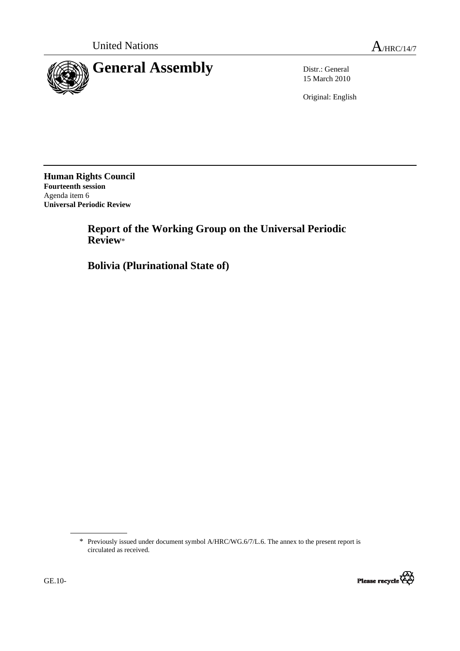

15 March 2010

Original: English

**Human Rights Council Fourteenth session**  Agenda item 6 **Universal Periodic Review** 

> **Report of the Working Group on the Universal Periodic Review**\*

 **Bolivia (Plurinational State of)** 

<sup>\*</sup> Previously issued under document symbol A/HRC/WG.6/7/L.6. The annex to the present report is circulated as received.

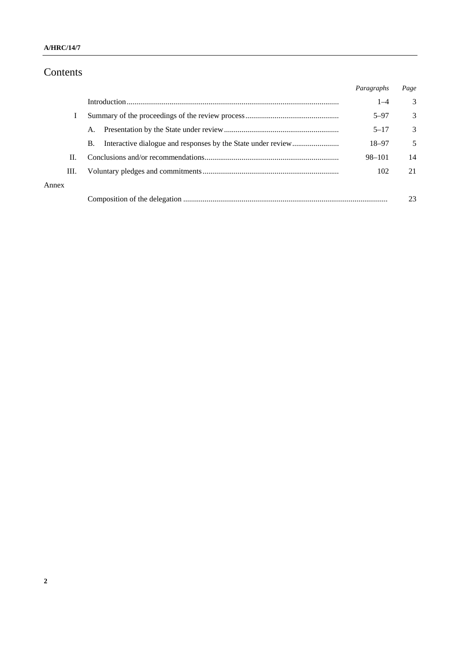# Contents

|       |    |           | Paragraphs | Page          |
|-------|----|-----------|------------|---------------|
|       |    |           | $1 - 4$    | 3             |
|       |    |           | $5 - 97$   | $\mathcal{E}$ |
|       |    | A.        | $5 - 17$   | 3             |
|       |    | <b>B.</b> | 18–97      | 5             |
|       | П. |           | $98 - 101$ | 14            |
|       | Ш. |           | 102        | 21            |
| Annex |    |           |            |               |
|       |    |           |            | 23            |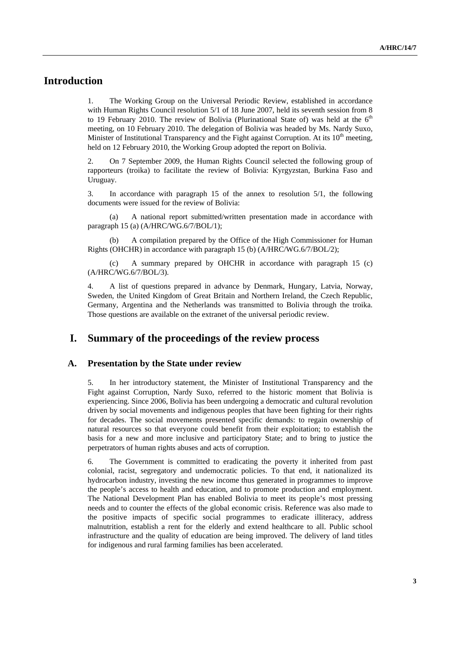### **Introduction**

1. The Working Group on the Universal Periodic Review, established in accordance with Human Rights Council resolution 5/1 of 18 June 2007, held its seventh session from 8 to 19 February 2010. The review of Bolivia (Plurinational State of) was held at the  $6<sup>th</sup>$ meeting, on 10 February 2010. The delegation of Bolivia was headed by Ms. Nardy Suxo, Minister of Institutional Transparency and the Fight against Corruption. At its  $10<sup>th</sup>$  meeting, held on 12 February 2010, the Working Group adopted the report on Bolivia.

2. On 7 September 2009, the Human Rights Council selected the following group of rapporteurs (troika) to facilitate the review of Bolivia: Kyrgyzstan, Burkina Faso and Uruguay.

3. In accordance with paragraph 15 of the annex to resolution 5/1, the following documents were issued for the review of Bolivia:

(a) A national report submitted/written presentation made in accordance with paragraph 15 (a) (A/HRC/WG.6/7/BOL/1);

A compilation prepared by the Office of the High Commissioner for Human Rights (OHCHR) in accordance with paragraph 15 (b) (A/HRC/WG.6/7/BOL/2);

(c) A summary prepared by OHCHR in accordance with paragraph 15 (c) (A/HRC/WG.6/7/BOL/3).

4. A list of questions prepared in advance by Denmark, Hungary, Latvia, Norway, Sweden, the United Kingdom of Great Britain and Northern Ireland, the Czech Republic, Germany, Argentina and the Netherlands was transmitted to Bolivia through the troika. Those questions are available on the extranet of the universal periodic review.

### **I. Summary of the proceedings of the review process**

#### **A. Presentation by the State under review**

5. In her introductory statement, the Minister of Institutional Transparency and the Fight against Corruption, Nardy Suxo, referred to the historic moment that Bolivia is experiencing. Since 2006, Bolivia has been undergoing a democratic and cultural revolution driven by social movements and indigenous peoples that have been fighting for their rights for decades. The social movements presented specific demands: to regain ownership of natural resources so that everyone could benefit from their exploitation; to establish the basis for a new and more inclusive and participatory State; and to bring to justice the perpetrators of human rights abuses and acts of corruption.

6. The Government is committed to eradicating the poverty it inherited from past colonial, racist, segregatory and undemocratic policies. To that end, it nationalized its hydrocarbon industry, investing the new income thus generated in programmes to improve the people's access to health and education, and to promote production and employment. The National Development Plan has enabled Bolivia to meet its people's most pressing needs and to counter the effects of the global economic crisis. Reference was also made to the positive impacts of specific social programmes to eradicate illiteracy, address malnutrition, establish a rent for the elderly and extend healthcare to all. Public school infrastructure and the quality of education are being improved. The delivery of land titles for indigenous and rural farming families has been accelerated.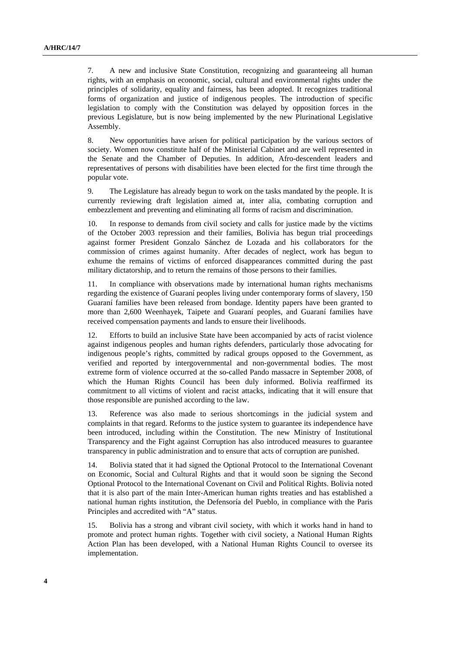7. A new and inclusive State Constitution, recognizing and guaranteeing all human rights, with an emphasis on economic, social, cultural and environmental rights under the principles of solidarity, equality and fairness, has been adopted. It recognizes traditional forms of organization and justice of indigenous peoples. The introduction of specific legislation to comply with the Constitution was delayed by opposition forces in the previous Legislature, but is now being implemented by the new Plurinational Legislative Assembly.

8. New opportunities have arisen for political participation by the various sectors of society. Women now constitute half of the Ministerial Cabinet and are well represented in the Senate and the Chamber of Deputies. In addition, Afro-descendent leaders and representatives of persons with disabilities have been elected for the first time through the popular vote.

9. The Legislature has already begun to work on the tasks mandated by the people. It is currently reviewing draft legislation aimed at, inter alia, combating corruption and embezzlement and preventing and eliminating all forms of racism and discrimination.

10. In response to demands from civil society and calls for justice made by the victims of the October 2003 repression and their families, Bolivia has begun trial proceedings against former President Gonzalo Sánchez de Lozada and his collaborators for the commission of crimes against humanity. After decades of neglect, work has begun to exhume the remains of victims of enforced disappearances committed during the past military dictatorship, and to return the remains of those persons to their families.

11. In compliance with observations made by international human rights mechanisms regarding the existence of Guaraní peoples living under contemporary forms of slavery, 150 Guaraní families have been released from bondage. Identity papers have been granted to more than 2,600 Weenhayek, Taipete and Guaraní peoples, and Guaraní families have received compensation payments and lands to ensure their livelihoods.

12. Efforts to build an inclusive State have been accompanied by acts of racist violence against indigenous peoples and human rights defenders, particularly those advocating for indigenous people's rights, committed by radical groups opposed to the Government, as verified and reported by intergovernmental and non-governmental bodies. The most extreme form of violence occurred at the so-called Pando massacre in September 2008, of which the Human Rights Council has been duly informed. Bolivia reaffirmed its commitment to all victims of violent and racist attacks, indicating that it will ensure that those responsible are punished according to the law.

13. Reference was also made to serious shortcomings in the judicial system and complaints in that regard. Reforms to the justice system to guarantee its independence have been introduced, including within the Constitution. The new Ministry of Institutional Transparency and the Fight against Corruption has also introduced measures to guarantee transparency in public administration and to ensure that acts of corruption are punished.

14. Bolivia stated that it had signed the Optional Protocol to the International Covenant on Economic, Social and Cultural Rights and that it would soon be signing the Second Optional Protocol to the International Covenant on Civil and Political Rights. Bolivia noted that it is also part of the main Inter-American human rights treaties and has established a national human rights institution, the Defensoría del Pueblo, in compliance with the Paris Principles and accredited with "A" status.

15. Bolivia has a strong and vibrant civil society, with which it works hand in hand to promote and protect human rights. Together with civil society, a National Human Rights Action Plan has been developed, with a National Human Rights Council to oversee its implementation.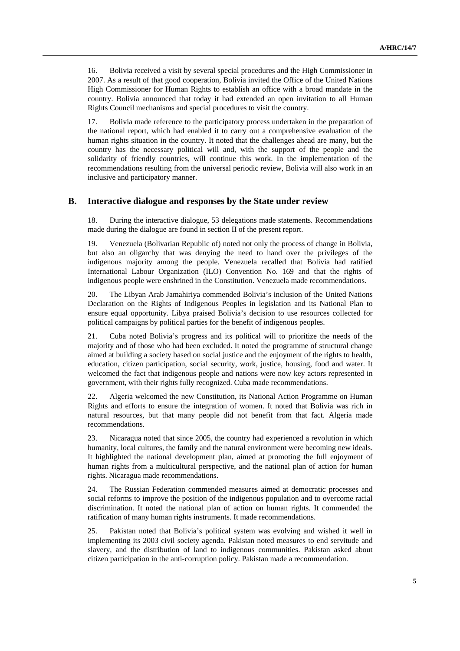16. Bolivia received a visit by several special procedures and the High Commissioner in 2007. As a result of that good cooperation, Bolivia invited the Office of the United Nations High Commissioner for Human Rights to establish an office with a broad mandate in the country. Bolivia announced that today it had extended an open invitation to all Human Rights Council mechanisms and special procedures to visit the country.

17. Bolivia made reference to the participatory process undertaken in the preparation of the national report, which had enabled it to carry out a comprehensive evaluation of the human rights situation in the country. It noted that the challenges ahead are many, but the country has the necessary political will and, with the support of the people and the solidarity of friendly countries, will continue this work. In the implementation of the recommendations resulting from the universal periodic review, Bolivia will also work in an inclusive and participatory manner.

#### **B. Interactive dialogue and responses by the State under review**

18. During the interactive dialogue, 53 delegations made statements. Recommendations made during the dialogue are found in section II of the present report.

19. Venezuela (Bolivarian Republic of) noted not only the process of change in Bolivia, but also an oligarchy that was denying the need to hand over the privileges of the indigenous majority among the people. Venezuela recalled that Bolivia had ratified International Labour Organization (ILO) Convention No. 169 and that the rights of indigenous people were enshrined in the Constitution. Venezuela made recommendations.

20. The Libyan Arab Jamahiriya commended Bolivia's inclusion of the United Nations Declaration on the Rights of Indigenous Peoples in legislation and its National Plan to ensure equal opportunity. Libya praised Bolivia's decision to use resources collected for political campaigns by political parties for the benefit of indigenous peoples.

21. Cuba noted Bolivia's progress and its political will to prioritize the needs of the majority and of those who had been excluded. It noted the programme of structural change aimed at building a society based on social justice and the enjoyment of the rights to health, education, citizen participation, social security, work, justice, housing, food and water. It welcomed the fact that indigenous people and nations were now key actors represented in government, with their rights fully recognized. Cuba made recommendations.

22. Algeria welcomed the new Constitution, its National Action Programme on Human Rights and efforts to ensure the integration of women. It noted that Bolivia was rich in natural resources, but that many people did not benefit from that fact. Algeria made recommendations.

23. Nicaragua noted that since 2005, the country had experienced a revolution in which humanity, local cultures, the family and the natural environment were becoming new ideals. It highlighted the national development plan, aimed at promoting the full enjoyment of human rights from a multicultural perspective, and the national plan of action for human rights. Nicaragua made recommendations.

24. The Russian Federation commended measures aimed at democratic processes and social reforms to improve the position of the indigenous population and to overcome racial discrimination. It noted the national plan of action on human rights. It commended the ratification of many human rights instruments. It made recommendations.

25. Pakistan noted that Bolivia's political system was evolving and wished it well in implementing its 2003 civil society agenda. Pakistan noted measures to end servitude and slavery, and the distribution of land to indigenous communities. Pakistan asked about citizen participation in the anti-corruption policy. Pakistan made a recommendation.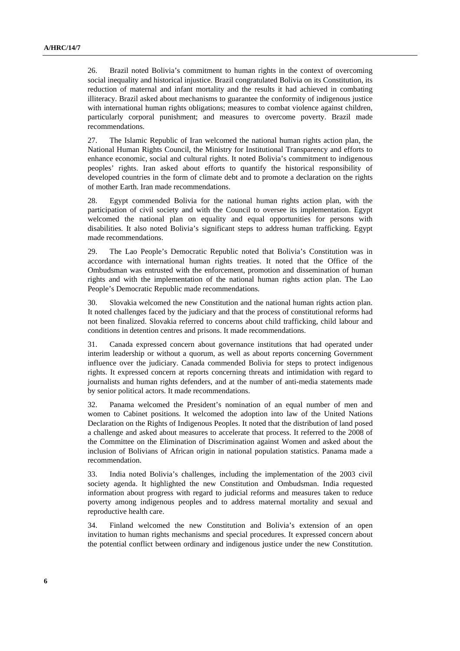26. Brazil noted Bolivia's commitment to human rights in the context of overcoming social inequality and historical injustice. Brazil congratulated Bolivia on its Constitution, its reduction of maternal and infant mortality and the results it had achieved in combating illiteracy. Brazil asked about mechanisms to guarantee the conformity of indigenous justice with international human rights obligations; measures to combat violence against children, particularly corporal punishment; and measures to overcome poverty. Brazil made recommendations.

27. The Islamic Republic of Iran welcomed the national human rights action plan, the National Human Rights Council, the Ministry for Institutional Transparency and efforts to enhance economic, social and cultural rights. It noted Bolivia's commitment to indigenous peoples' rights. Iran asked about efforts to quantify the historical responsibility of developed countries in the form of climate debt and to promote a declaration on the rights of mother Earth. Iran made recommendations.

28. Egypt commended Bolivia for the national human rights action plan, with the participation of civil society and with the Council to oversee its implementation. Egypt welcomed the national plan on equality and equal opportunities for persons with disabilities. It also noted Bolivia's significant steps to address human trafficking. Egypt made recommendations.

29. The Lao People's Democratic Republic noted that Bolivia's Constitution was in accordance with international human rights treaties. It noted that the Office of the Ombudsman was entrusted with the enforcement, promotion and dissemination of human rights and with the implementation of the national human rights action plan. The Lao People's Democratic Republic made recommendations.

30. Slovakia welcomed the new Constitution and the national human rights action plan. It noted challenges faced by the judiciary and that the process of constitutional reforms had not been finalized. Slovakia referred to concerns about child trafficking, child labour and conditions in detention centres and prisons. It made recommendations.

31. Canada expressed concern about governance institutions that had operated under interim leadership or without a quorum, as well as about reports concerning Government influence over the judiciary. Canada commended Bolivia for steps to protect indigenous rights. It expressed concern at reports concerning threats and intimidation with regard to journalists and human rights defenders, and at the number of anti-media statements made by senior political actors. It made recommendations.

32. Panama welcomed the President's nomination of an equal number of men and women to Cabinet positions. It welcomed the adoption into law of the United Nations Declaration on the Rights of Indigenous Peoples. It noted that the distribution of land posed a challenge and asked about measures to accelerate that process. It referred to the 2008 of the Committee on the Elimination of Discrimination against Women and asked about the inclusion of Bolivians of African origin in national population statistics. Panama made a recommendation.

33. India noted Bolivia's challenges, including the implementation of the 2003 civil society agenda. It highlighted the new Constitution and Ombudsman. India requested information about progress with regard to judicial reforms and measures taken to reduce poverty among indigenous peoples and to address maternal mortality and sexual and reproductive health care.

34. Finland welcomed the new Constitution and Bolivia's extension of an open invitation to human rights mechanisms and special procedures. It expressed concern about the potential conflict between ordinary and indigenous justice under the new Constitution.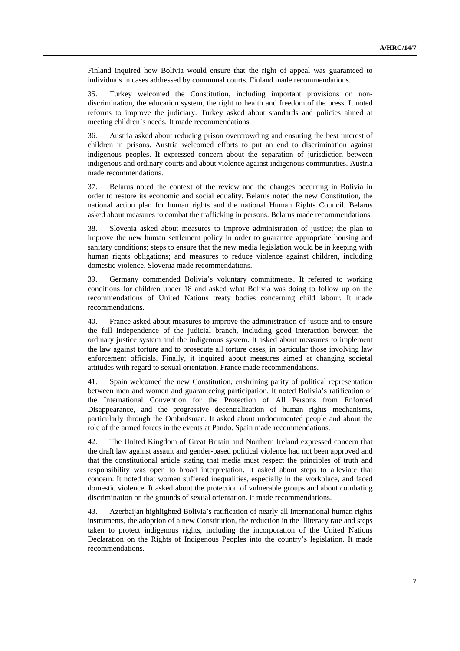Finland inquired how Bolivia would ensure that the right of appeal was guaranteed to individuals in cases addressed by communal courts. Finland made recommendations.

35. Turkey welcomed the Constitution, including important provisions on nondiscrimination, the education system, the right to health and freedom of the press. It noted reforms to improve the judiciary. Turkey asked about standards and policies aimed at meeting children's needs. It made recommendations.

36. Austria asked about reducing prison overcrowding and ensuring the best interest of children in prisons. Austria welcomed efforts to put an end to discrimination against indigenous peoples. It expressed concern about the separation of jurisdiction between indigenous and ordinary courts and about violence against indigenous communities. Austria made recommendations.

37. Belarus noted the context of the review and the changes occurring in Bolivia in order to restore its economic and social equality. Belarus noted the new Constitution, the national action plan for human rights and the national Human Rights Council. Belarus asked about measures to combat the trafficking in persons. Belarus made recommendations.

38. Slovenia asked about measures to improve administration of justice; the plan to improve the new human settlement policy in order to guarantee appropriate housing and sanitary conditions; steps to ensure that the new media legislation would be in keeping with human rights obligations; and measures to reduce violence against children, including domestic violence. Slovenia made recommendations.

39. Germany commended Bolivia's voluntary commitments. It referred to working conditions for children under 18 and asked what Bolivia was doing to follow up on the recommendations of United Nations treaty bodies concerning child labour. It made recommendations.

40. France asked about measures to improve the administration of justice and to ensure the full independence of the judicial branch, including good interaction between the ordinary justice system and the indigenous system. It asked about measures to implement the law against torture and to prosecute all torture cases, in particular those involving law enforcement officials. Finally, it inquired about measures aimed at changing societal attitudes with regard to sexual orientation. France made recommendations.

41. Spain welcomed the new Constitution, enshrining parity of political representation between men and women and guaranteeing participation. It noted Bolivia's ratification of the International Convention for the Protection of All Persons from Enforced Disappearance, and the progressive decentralization of human rights mechanisms, particularly through the Ombudsman. It asked about undocumented people and about the role of the armed forces in the events at Pando. Spain made recommendations.

42. The United Kingdom of Great Britain and Northern Ireland expressed concern that the draft law against assault and gender-based political violence had not been approved and that the constitutional article stating that media must respect the principles of truth and responsibility was open to broad interpretation. It asked about steps to alleviate that concern. It noted that women suffered inequalities, especially in the workplace, and faced domestic violence. It asked about the protection of vulnerable groups and about combating discrimination on the grounds of sexual orientation. It made recommendations.

43. Azerbaijan highlighted Bolivia's ratification of nearly all international human rights instruments, the adoption of a new Constitution, the reduction in the illiteracy rate and steps taken to protect indigenous rights, including the incorporation of the United Nations Declaration on the Rights of Indigenous Peoples into the country's legislation. It made recommendations.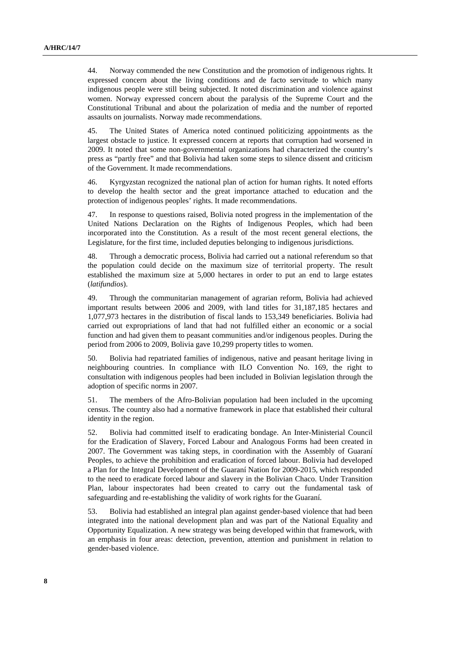44. Norway commended the new Constitution and the promotion of indigenous rights. It expressed concern about the living conditions and de facto servitude to which many indigenous people were still being subjected. It noted discrimination and violence against women. Norway expressed concern about the paralysis of the Supreme Court and the Constitutional Tribunal and about the polarization of media and the number of reported assaults on journalists. Norway made recommendations.

45. The United States of America noted continued politicizing appointments as the largest obstacle to justice. It expressed concern at reports that corruption had worsened in 2009. It noted that some non-governmental organizations had characterized the country's press as "partly free" and that Bolivia had taken some steps to silence dissent and criticism of the Government. It made recommendations.

46. Kyrgyzstan recognized the national plan of action for human rights. It noted efforts to develop the health sector and the great importance attached to education and the protection of indigenous peoples' rights. It made recommendations.

47. In response to questions raised, Bolivia noted progress in the implementation of the United Nations Declaration on the Rights of Indigenous Peoples, which had been incorporated into the Constitution. As a result of the most recent general elections, the Legislature, for the first time, included deputies belonging to indigenous jurisdictions.

48. Through a democratic process, Bolivia had carried out a national referendum so that the population could decide on the maximum size of territorial property. The result established the maximum size at 5,000 hectares in order to put an end to large estates (*latifundios*).

49. Through the communitarian management of agrarian reform, Bolivia had achieved important results between 2006 and 2009, with land titles for 31,187,185 hectares and 1,077,973 hectares in the distribution of fiscal lands to 153,349 beneficiaries. Bolivia had carried out expropriations of land that had not fulfilled either an economic or a social function and had given them to peasant communities and/or indigenous peoples. During the period from 2006 to 2009, Bolivia gave 10,299 property titles to women.

50. Bolivia had repatriated families of indigenous, native and peasant heritage living in neighbouring countries. In compliance with ILO Convention No. 169, the right to consultation with indigenous peoples had been included in Bolivian legislation through the adoption of specific norms in 2007.

51. The members of the Afro-Bolivian population had been included in the upcoming census. The country also had a normative framework in place that established their cultural identity in the region.

52. Bolivia had committed itself to eradicating bondage. An Inter-Ministerial Council for the Eradication of Slavery, Forced Labour and Analogous Forms had been created in 2007. The Government was taking steps, in coordination with the Assembly of Guaraní Peoples, to achieve the prohibition and eradication of forced labour. Bolivia had developed a Plan for the Integral Development of the Guaraní Nation for 2009-2015, which responded to the need to eradicate forced labour and slavery in the Bolivian Chaco. Under Transition Plan, labour inspectorates had been created to carry out the fundamental task of safeguarding and re-establishing the validity of work rights for the Guaraní.

53. Bolivia had established an integral plan against gender-based violence that had been integrated into the national development plan and was part of the National Equality and Opportunity Equalization. A new strategy was being developed within that framework, with an emphasis in four areas: detection, prevention, attention and punishment in relation to gender-based violence.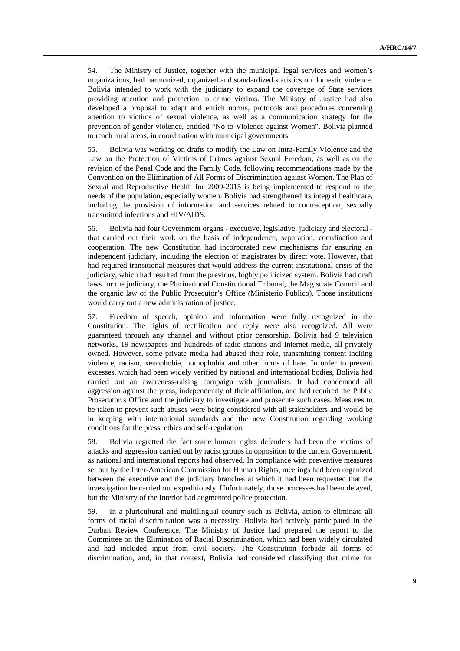54. The Ministry of Justice, together with the municipal legal services and women's organizations, had harmonized, organized and standardized statistics on domestic violence. Bolivia intended to work with the judiciary to expand the coverage of State services providing attention and protection to crime victims. The Ministry of Justice had also developed a proposal to adapt and enrich norms, protocols and procedures concerning attention to victims of sexual violence, as well as a communication strategy for the prevention of gender violence, entitled "No to Violence against Women". Bolivia planned to reach rural areas, in coordination with municipal governments.

55. Bolivia was working on drafts to modify the Law on Intra-Family Violence and the Law on the Protection of Victims of Crimes against Sexual Freedom, as well as on the revision of the Penal Code and the Family Code, following recommendations made by the Convention on the Elimination of All Forms of Discrimination against Women. The Plan of Sexual and Reproductive Health for 2009-2015 is being implemented to respond to the needs of the population, especially women. Bolivia had strengthened its integral healthcare, including the provision of information and services related to contraception, sexually transmitted infections and HIV/AIDS.

56. Bolivia had four Government organs - executive, legislative, judiciary and electoral that carried out their work on the basis of independence, separation, coordination and cooperation. The new Constitution had incorporated new mechanisms for ensuring an independent judiciary, including the election of magistrates by direct vote. However, that had required transitional measures that would address the current institutional crisis of the judiciary, which had resulted from the previous, highly politicized system. Bolivia had draft laws for the judiciary, the Plurinational Constitutional Tribunal, the Magistrate Council and the organic law of the Public Prosecutor's Office (Ministerio Publico). Those institutions would carry out a new administration of justice.

57. Freedom of speech, opinion and information were fully recognized in the Constitution. The rights of rectification and reply were also recognized. All were guaranteed through any channel and without prior censorship. Bolivia had 9 television networks, 19 newspapers and hundreds of radio stations and Internet media, all privately owned. However, some private media had abused their role, transmitting content inciting violence, racism, xenophobia, homophobia and other forms of hate. In order to prevent excesses, which had been widely verified by national and international bodies, Bolivia had carried out an awareness-raising campaign with journalists. It had condemned all aggression against the press, independently of their affiliation, and had required the Public Prosecutor's Office and the judiciary to investigate and prosecute such cases. Measures to be taken to prevent such abuses were being considered with all stakeholders and would be in keeping with international standards and the new Constitution regarding working conditions for the press, ethics and self-regulation.

58. Bolivia regretted the fact some human rights defenders had been the victims of attacks and aggression carried out by racist groups in opposition to the current Government, as national and international reports had observed. In compliance with preventive measures set out by the Inter-American Commission for Human Rights, meetings had been organized between the executive and the judiciary branches at which it had been requested that the investigation be carried out expeditiously. Unfortunately, those processes had been delayed, but the Ministry of the Interior had augmented police protection.

59. In a pluricultural and multilingual country such as Bolivia, action to eliminate all forms of racial discrimination was a necessity. Bolivia had actively participated in the Durban Review Conference. The Ministry of Justice had prepared the report to the Committee on the Elimination of Racial Discrimination, which had been widely circulated and had included input from civil society. The Constitution forbade all forms of discrimination, and, in that context, Bolivia had considered classifying that crime for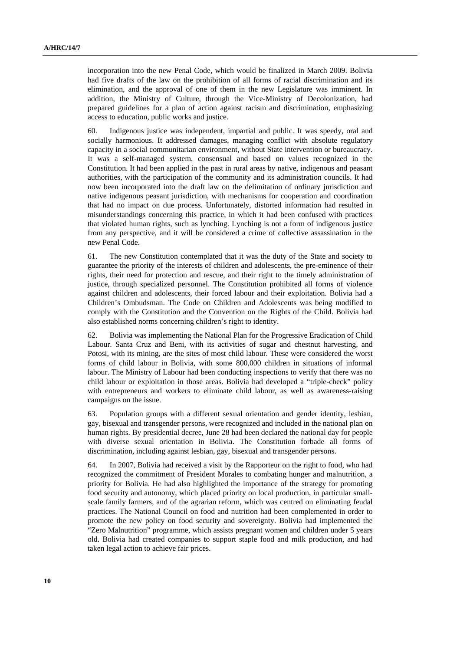incorporation into the new Penal Code, which would be finalized in March 2009. Bolivia had five drafts of the law on the prohibition of all forms of racial discrimination and its elimination, and the approval of one of them in the new Legislature was imminent. In addition, the Ministry of Culture, through the Vice-Ministry of Decolonization, had prepared guidelines for a plan of action against racism and discrimination, emphasizing access to education, public works and justice.

60. Indigenous justice was independent, impartial and public. It was speedy, oral and socially harmonious. It addressed damages, managing conflict with absolute regulatory capacity in a social communitarian environment, without State intervention or bureaucracy. It was a self-managed system, consensual and based on values recognized in the Constitution. It had been applied in the past in rural areas by native, indigenous and peasant authorities, with the participation of the community and its administration councils. It had now been incorporated into the draft law on the delimitation of ordinary jurisdiction and native indigenous peasant jurisdiction, with mechanisms for cooperation and coordination that had no impact on due process. Unfortunately, distorted information had resulted in misunderstandings concerning this practice, in which it had been confused with practices that violated human rights, such as lynching. Lynching is not a form of indigenous justice from any perspective, and it will be considered a crime of collective assassination in the new Penal Code.

61. The new Constitution contemplated that it was the duty of the State and society to guarantee the priority of the interests of children and adolescents, the pre-eminence of their rights, their need for protection and rescue, and their right to the timely administration of justice, through specialized personnel. The Constitution prohibited all forms of violence against children and adolescents, their forced labour and their exploitation. Bolivia had a Children's Ombudsman. The Code on Children and Adolescents was being modified to comply with the Constitution and the Convention on the Rights of the Child. Bolivia had also established norms concerning children's right to identity.

62. Bolivia was implementing the National Plan for the Progressive Eradication of Child Labour. Santa Cruz and Beni, with its activities of sugar and chestnut harvesting, and Potosi, with its mining, are the sites of most child labour. These were considered the worst forms of child labour in Bolivia, with some 800,000 children in situations of informal labour. The Ministry of Labour had been conducting inspections to verify that there was no child labour or exploitation in those areas. Bolivia had developed a "triple-check" policy with entrepreneurs and workers to eliminate child labour, as well as awareness-raising campaigns on the issue.

63. Population groups with a different sexual orientation and gender identity, lesbian, gay, bisexual and transgender persons, were recognized and included in the national plan on human rights. By presidential decree, June 28 had been declared the national day for people with diverse sexual orientation in Bolivia. The Constitution forbade all forms of discrimination, including against lesbian, gay, bisexual and transgender persons.

64. In 2007, Bolivia had received a visit by the Rapporteur on the right to food, who had recognized the commitment of President Morales to combating hunger and malnutrition, a priority for Bolivia. He had also highlighted the importance of the strategy for promoting food security and autonomy, which placed priority on local production, in particular smallscale family farmers, and of the agrarian reform, which was centred on eliminating feudal practices. The National Council on food and nutrition had been complemented in order to promote the new policy on food security and sovereignty. Bolivia had implemented the "Zero Malnutrition" programme, which assists pregnant women and children under 5 years old. Bolivia had created companies to support staple food and milk production, and had taken legal action to achieve fair prices.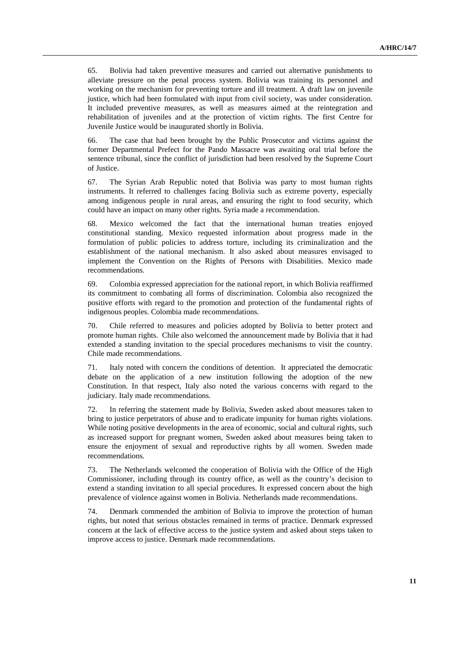65. Bolivia had taken preventive measures and carried out alternative punishments to alleviate pressure on the penal process system. Bolivia was training its personnel and working on the mechanism for preventing torture and ill treatment. A draft law on juvenile justice, which had been formulated with input from civil society, was under consideration. It included preventive measures, as well as measures aimed at the reintegration and rehabilitation of juveniles and at the protection of victim rights. The first Centre for Juvenile Justice would be inaugurated shortly in Bolivia.

66. The case that had been brought by the Public Prosecutor and victims against the former Departmental Prefect for the Pando Massacre was awaiting oral trial before the sentence tribunal, since the conflict of jurisdiction had been resolved by the Supreme Court of Justice.

67. The Syrian Arab Republic noted that Bolivia was party to most human rights instruments. It referred to challenges facing Bolivia such as extreme poverty, especially among indigenous people in rural areas, and ensuring the right to food security, which could have an impact on many other rights. Syria made a recommendation.

68. Mexico welcomed the fact that the international human treaties enjoyed constitutional standing. Mexico requested information about progress made in the formulation of public policies to address torture, including its criminalization and the establishment of the national mechanism. It also asked about measures envisaged to implement the Convention on the Rights of Persons with Disabilities. Mexico made recommendations.

69. Colombia expressed appreciation for the national report, in which Bolivia reaffirmed its commitment to combating all forms of discrimination. Colombia also recognized the positive efforts with regard to the promotion and protection of the fundamental rights of indigenous peoples. Colombia made recommendations.

70. Chile referred to measures and policies adopted by Bolivia to better protect and promote human rights. Chile also welcomed the announcement made by Bolivia that it had extended a standing invitation to the special procedures mechanisms to visit the country. Chile made recommendations.

71. Italy noted with concern the conditions of detention. It appreciated the democratic debate on the application of a new institution following the adoption of the new Constitution. In that respect, Italy also noted the various concerns with regard to the judiciary. Italy made recommendations.

72. In referring the statement made by Bolivia, Sweden asked about measures taken to bring to justice perpetrators of abuse and to eradicate impunity for human rights violations. While noting positive developments in the area of economic, social and cultural rights, such as increased support for pregnant women, Sweden asked about measures being taken to ensure the enjoyment of sexual and reproductive rights by all women. Sweden made recommendations.

73. The Netherlands welcomed the cooperation of Bolivia with the Office of the High Commissioner, including through its country office, as well as the country's decision to extend a standing invitation to all special procedures. It expressed concern about the high prevalence of violence against women in Bolivia. Netherlands made recommendations.

74. Denmark commended the ambition of Bolivia to improve the protection of human rights, but noted that serious obstacles remained in terms of practice. Denmark expressed concern at the lack of effective access to the justice system and asked about steps taken to improve access to justice. Denmark made recommendations.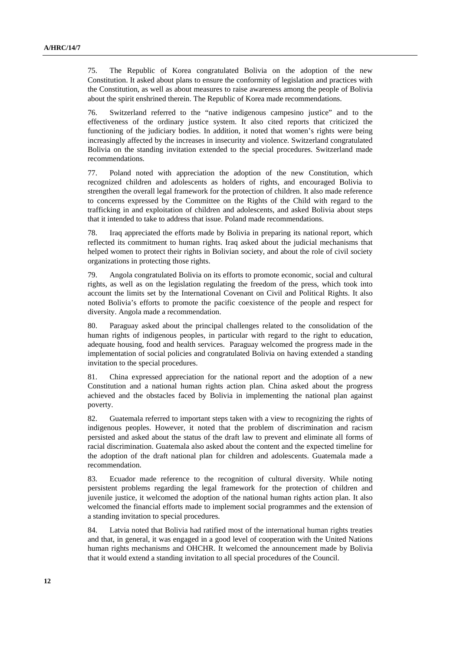75. The Republic of Korea congratulated Bolivia on the adoption of the new Constitution. It asked about plans to ensure the conformity of legislation and practices with the Constitution, as well as about measures to raise awareness among the people of Bolivia about the spirit enshrined therein. The Republic of Korea made recommendations.

76. Switzerland referred to the "native indigenous campesino justice" and to the effectiveness of the ordinary justice system. It also cited reports that criticized the functioning of the judiciary bodies. In addition, it noted that women's rights were being increasingly affected by the increases in insecurity and violence. Switzerland congratulated Bolivia on the standing invitation extended to the special procedures. Switzerland made recommendations.

77. Poland noted with appreciation the adoption of the new Constitution, which recognized children and adolescents as holders of rights, and encouraged Bolivia to strengthen the overall legal framework for the protection of children. It also made reference to concerns expressed by the Committee on the Rights of the Child with regard to the trafficking in and exploitation of children and adolescents, and asked Bolivia about steps that it intended to take to address that issue. Poland made recommendations.

78. Iraq appreciated the efforts made by Bolivia in preparing its national report, which reflected its commitment to human rights. Iraq asked about the judicial mechanisms that helped women to protect their rights in Bolivian society, and about the role of civil society organizations in protecting those rights.

79. Angola congratulated Bolivia on its efforts to promote economic, social and cultural rights, as well as on the legislation regulating the freedom of the press, which took into account the limits set by the International Covenant on Civil and Political Rights. It also noted Bolivia's efforts to promote the pacific coexistence of the people and respect for diversity. Angola made a recommendation.

80. Paraguay asked about the principal challenges related to the consolidation of the human rights of indigenous peoples, in particular with regard to the right to education, adequate housing, food and health services. Paraguay welcomed the progress made in the implementation of social policies and congratulated Bolivia on having extended a standing invitation to the special procedures.

81. China expressed appreciation for the national report and the adoption of a new Constitution and a national human rights action plan. China asked about the progress achieved and the obstacles faced by Bolivia in implementing the national plan against poverty.

82. Guatemala referred to important steps taken with a view to recognizing the rights of indigenous peoples. However, it noted that the problem of discrimination and racism persisted and asked about the status of the draft law to prevent and eliminate all forms of racial discrimination. Guatemala also asked about the content and the expected timeline for the adoption of the draft national plan for children and adolescents. Guatemala made a recommendation.

83. Ecuador made reference to the recognition of cultural diversity. While noting persistent problems regarding the legal framework for the protection of children and juvenile justice, it welcomed the adoption of the national human rights action plan. It also welcomed the financial efforts made to implement social programmes and the extension of a standing invitation to special procedures.

84. Latvia noted that Bolivia had ratified most of the international human rights treaties and that, in general, it was engaged in a good level of cooperation with the United Nations human rights mechanisms and OHCHR. It welcomed the announcement made by Bolivia that it would extend a standing invitation to all special procedures of the Council.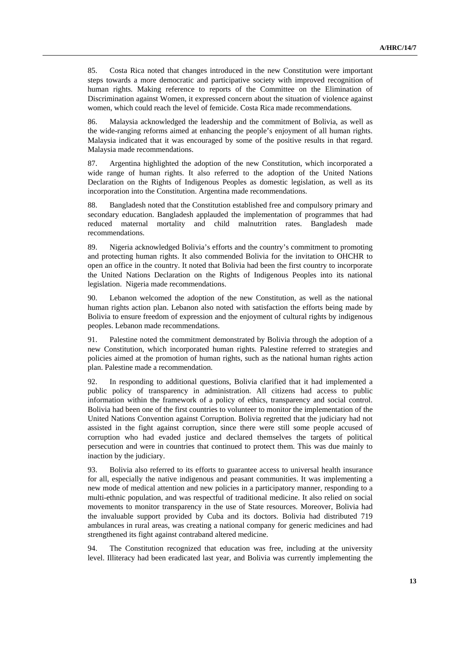85. Costa Rica noted that changes introduced in the new Constitution were important steps towards a more democratic and participative society with improved recognition of human rights. Making reference to reports of the Committee on the Elimination of Discrimination against Women, it expressed concern about the situation of violence against women, which could reach the level of femicide. Costa Rica made recommendations.

86. Malaysia acknowledged the leadership and the commitment of Bolivia, as well as the wide-ranging reforms aimed at enhancing the people's enjoyment of all human rights. Malaysia indicated that it was encouraged by some of the positive results in that regard. Malaysia made recommendations.

87. Argentina highlighted the adoption of the new Constitution, which incorporated a wide range of human rights. It also referred to the adoption of the United Nations Declaration on the Rights of Indigenous Peoples as domestic legislation, as well as its incorporation into the Constitution. Argentina made recommendations.

88. Bangladesh noted that the Constitution established free and compulsory primary and secondary education. Bangladesh applauded the implementation of programmes that had reduced maternal mortality and child malnutrition rates. Bangladesh made recommendations.

89. Nigeria acknowledged Bolivia's efforts and the country's commitment to promoting and protecting human rights. It also commended Bolivia for the invitation to OHCHR to open an office in the country. It noted that Bolivia had been the first country to incorporate the United Nations Declaration on the Rights of Indigenous Peoples into its national legislation. Nigeria made recommendations.

90. Lebanon welcomed the adoption of the new Constitution, as well as the national human rights action plan. Lebanon also noted with satisfaction the efforts being made by Bolivia to ensure freedom of expression and the enjoyment of cultural rights by indigenous peoples. Lebanon made recommendations.

91. Palestine noted the commitment demonstrated by Bolivia through the adoption of a new Constitution, which incorporated human rights. Palestine referred to strategies and policies aimed at the promotion of human rights, such as the national human rights action plan. Palestine made a recommendation.

92. In responding to additional questions, Bolivia clarified that it had implemented a public policy of transparency in administration. All citizens had access to public information within the framework of a policy of ethics, transparency and social control. Bolivia had been one of the first countries to volunteer to monitor the implementation of the United Nations Convention against Corruption. Bolivia regretted that the judiciary had not assisted in the fight against corruption, since there were still some people accused of corruption who had evaded justice and declared themselves the targets of political persecution and were in countries that continued to protect them. This was due mainly to inaction by the judiciary.

93. Bolivia also referred to its efforts to guarantee access to universal health insurance for all, especially the native indigenous and peasant communities. It was implementing a new mode of medical attention and new policies in a participatory manner, responding to a multi-ethnic population, and was respectful of traditional medicine. It also relied on social movements to monitor transparency in the use of State resources. Moreover, Bolivia had the invaluable support provided by Cuba and its doctors. Bolivia had distributed 719 ambulances in rural areas, was creating a national company for generic medicines and had strengthened its fight against contraband altered medicine.

94. The Constitution recognized that education was free, including at the university level. Illiteracy had been eradicated last year, and Bolivia was currently implementing the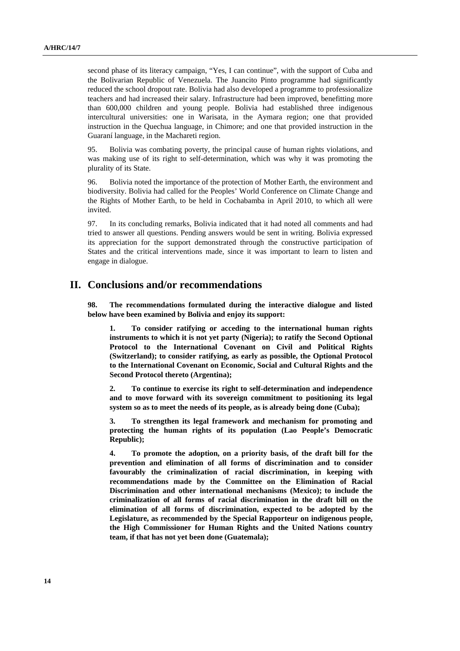second phase of its literacy campaign, "Yes, I can continue", with the support of Cuba and the Bolivarian Republic of Venezuela. The Juancito Pinto programme had significantly reduced the school dropout rate. Bolivia had also developed a programme to professionalize teachers and had increased their salary. Infrastructure had been improved, benefitting more than 600,000 children and young people. Bolivia had established three indigenous intercultural universities: one in Warisata, in the Aymara region; one that provided instruction in the Quechua language, in Chimore; and one that provided instruction in the Guaraní language, in the Machareti region.

95. Bolivia was combating poverty, the principal cause of human rights violations, and was making use of its right to self-determination, which was why it was promoting the plurality of its State.

96. Bolivia noted the importance of the protection of Mother Earth, the environment and biodiversity. Bolivia had called for the Peoples' World Conference on Climate Change and the Rights of Mother Earth, to be held in Cochabamba in April 2010, to which all were invited.

97. In its concluding remarks, Bolivia indicated that it had noted all comments and had tried to answer all questions. Pending answers would be sent in writing. Bolivia expressed its appreciation for the support demonstrated through the constructive participation of States and the critical interventions made, since it was important to learn to listen and engage in dialogue.

## **II. Conclusions and/or recommendations**

**98. The recommendations formulated during the interactive dialogue and listed below have been examined by Bolivia and enjoy its support:** 

**1. To consider ratifying or acceding to the international human rights instruments to which it is not yet party (Nigeria); to ratify the Second Optional Protocol to the International Covenant on Civil and Political Rights (Switzerland); to consider ratifying, as early as possible, the Optional Protocol to the International Covenant on Economic, Social and Cultural Rights and the Second Protocol thereto (Argentina);** 

**2. To continue to exercise its right to self-determination and independence and to move forward with its sovereign commitment to positioning its legal system so as to meet the needs of its people, as is already being done (Cuba);** 

**3. To strengthen its legal framework and mechanism for promoting and protecting the human rights of its population (Lao People's Democratic Republic);** 

**4. To promote the adoption, on a priority basis, of the draft bill for the prevention and elimination of all forms of discrimination and to consider favourably the criminalization of racial discrimination, in keeping with recommendations made by the Committee on the Elimination of Racial Discrimination and other international mechanisms (Mexico); to include the criminalization of all forms of racial discrimination in the draft bill on the elimination of all forms of discrimination, expected to be adopted by the Legislature, as recommended by the Special Rapporteur on indigenous people, the High Commissioner for Human Rights and the United Nations country team, if that has not yet been done (Guatemala);**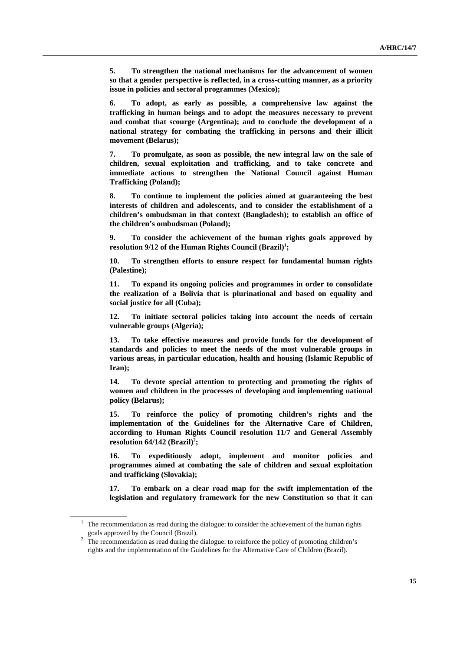**5. To strengthen the national mechanisms for the advancement of women so that a gender perspective is reflected, in a cross-cutting manner, as a priority issue in policies and sectoral programmes (Mexico);**

**6. To adopt, as early as possible, a comprehensive law against the trafficking in human beings and to adopt the measures necessary to prevent and combat that scourge (Argentina); and to conclude the development of a national strategy for combating the trafficking in persons and their illicit movement (Belarus);** 

**7. To promulgate, as soon as possible, the new integral law on the sale of children, sexual exploitation and trafficking, and to take concrete and immediate actions to strengthen the National Council against Human Trafficking (Poland);** 

**8. To continue to implement the policies aimed at guaranteeing the best interests of children and adolescents, and to consider the establishment of a children's ombudsman in that context (Bangladesh); to establish an office of the children's ombudsman (Poland);** 

**9. To consider the achievement of the human rights goals approved by**  resolution 9/12 of the Human Rights Council (Brazil)<sup>1</sup>;

**10. To strengthen efforts to ensure respect for fundamental human rights (Palestine);** 

**11. To expand its ongoing policies and programmes in order to consolidate the realization of a Bolivia that is plurinational and based on equality and social justice for all (Cuba);** 

**12. To initiate sectoral policies taking into account the needs of certain vulnerable groups (Algeria);** 

**13. To take effective measures and provide funds for the development of standards and policies to meet the needs of the most vulnerable groups in various areas, in particular education, health and housing (Islamic Republic of Iran);** 

**14. To devote special attention to protecting and promoting the rights of women and children in the processes of developing and implementing national policy (Belarus);** 

**15. To reinforce the policy of promoting children's rights and the implementation of the Guidelines for the Alternative Care of Children, according to Human Rights Council resolution 11/7 and General Assembly**   $resolution 64/142 (Brazil)<sup>2</sup>$ 

**16. To expeditiously adopt, implement and monitor policies and programmes aimed at combating the sale of children and sexual exploitation and trafficking (Slovakia);** 

**17. To embark on a clear road map for the swift implementation of the legislation and regulatory framework for the new Constitution so that it can** 

 $1$  The recommendation as read during the dialogue: to consider the achievement of the human rights goals approved by the Council (Brazil).<br><sup>2</sup> The recommendation as read during the dialogue: to reinforce the policy of promoting children's

rights and the implementation of the Guidelines for the Alternative Care of Children (Brazil).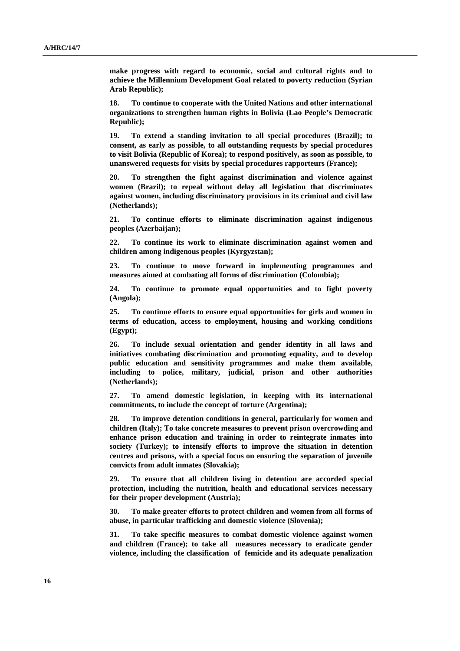**make progress with regard to economic, social and cultural rights and to achieve the Millennium Development Goal related to poverty reduction (Syrian Arab Republic);** 

**18. To continue to cooperate with the United Nations and other international organizations to strengthen human rights in Bolivia (Lao People's Democratic Republic);** 

**19. To extend a standing invitation to all special procedures (Brazil); to consent, as early as possible, to all outstanding requests by special procedures to visit Bolivia (Republic of Korea); to respond positively, as soon as possible, to unanswered requests for visits by special procedures rapporteurs (France);** 

**20. To strengthen the fight against discrimination and violence against women (Brazil); to repeal without delay all legislation that discriminates against women, including discriminatory provisions in its criminal and civil law (Netherlands);** 

**21. To continue efforts to eliminate discrimination against indigenous peoples (Azerbaijan);** 

**22. To continue its work to eliminate discrimination against women and children among indigenous peoples (Kyrgyzstan);** 

**23. To continue to move forward in implementing programmes and measures aimed at combating all forms of discrimination (Colombia);** 

**24. To continue to promote equal opportunities and to fight poverty (Angola);** 

**25. To continue efforts to ensure equal opportunities for girls and women in terms of education, access to employment, housing and working conditions (Egypt);** 

**26. To include sexual orientation and gender identity in all laws and initiatives combating discrimination and promoting equality, and to develop public education and sensitivity programmes and make them available, including to police, military, judicial, prison and other authorities (Netherlands);** 

**27. To amend domestic legislation, in keeping with its international commitments, to include the concept of torture (Argentina);** 

**28. To improve detention conditions in general, particularly for women and children (Italy); To take concrete measures to prevent prison overcrowding and enhance prison education and training in order to reintegrate inmates into society (Turkey); to intensify efforts to improve the situation in detention centres and prisons, with a special focus on ensuring the separation of juvenile convicts from adult inmates (Slovakia);** 

**29. To ensure that all children living in detention are accorded special protection, including the nutrition, health and educational services necessary for their proper development (Austria);** 

**30. To make greater efforts to protect children and women from all forms of abuse, in particular trafficking and domestic violence (Slovenia);** 

**31. To take specific measures to combat domestic violence against women and children (France); to take all measures necessary to eradicate gender violence, including the classification of femicide and its adequate penalization**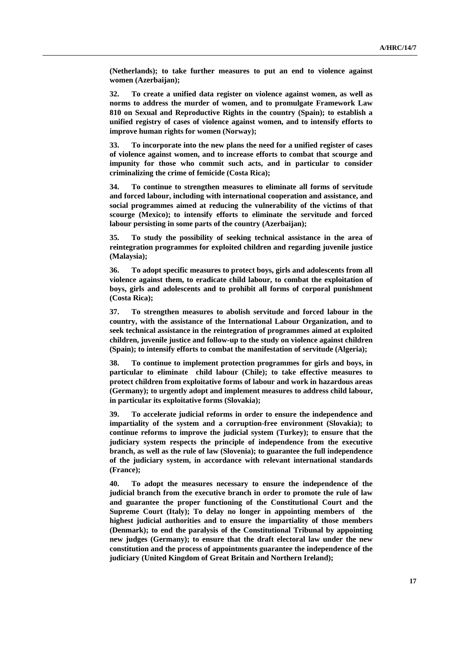**(Netherlands); to take further measures to put an end to violence against women (Azerbaijan);** 

**32. To create a unified data register on violence against women, as well as norms to address the murder of women, and to promulgate Framework Law 810 on Sexual and Reproductive Rights in the country (Spain); to establish a unified registry of cases of violence against women, and to intensify efforts to improve human rights for women (Norway);** 

**33. To incorporate into the new plans the need for a unified register of cases of violence against women, and to increase efforts to combat that scourge and impunity for those who commit such acts, and in particular to consider criminalizing the crime of femicide (Costa Rica);** 

**34. To continue to strengthen measures to eliminate all forms of servitude and forced labour, including with international cooperation and assistance, and social programmes aimed at reducing the vulnerability of the victims of that scourge (Mexico); to intensify efforts to eliminate the servitude and forced labour persisting in some parts of the country (Azerbaijan);** 

**35. To study the possibility of seeking technical assistance in the area of reintegration programmes for exploited children and regarding juvenile justice (Malaysia);** 

**36. To adopt specific measures to protect boys, girls and adolescents from all violence against them, to eradicate child labour, to combat the exploitation of boys, girls and adolescents and to prohibit all forms of corporal punishment (Costa Rica);** 

**37. To strengthen measures to abolish servitude and forced labour in the country, with the assistance of the International Labour Organization, and to seek technical assistance in the reintegration of programmes aimed at exploited children, juvenile justice and follow-up to the study on violence against children (Spain); to intensify efforts to combat the manifestation of servitude (Algeria);** 

**38. To continue to implement protection programmes for girls and boys, in particular to eliminate child labour (Chile); to take effective measures to protect children from exploitative forms of labour and work in hazardous areas (Germany); to urgently adopt and implement measures to address child labour, in particular its exploitative forms (Slovakia);** 

**39. To accelerate judicial reforms in order to ensure the independence and impartiality of the system and a corruption-free environment (Slovakia); to continue reforms to improve the judicial system (Turkey); to ensure that the judiciary system respects the principle of independence from the executive branch, as well as the rule of law (Slovenia); to guarantee the full independence of the judiciary system, in accordance with relevant international standards (France);** 

**40. To adopt the measures necessary to ensure the independence of the judicial branch from the executive branch in order to promote the rule of law and guarantee the proper functioning of the Constitutional Court and the Supreme Court (Italy); To delay no longer in appointing members of the highest judicial authorities and to ensure the impartiality of those members (Denmark); to end the paralysis of the Constitutional Tribunal by appointing new judges (Germany); to ensure that the draft electoral law under the new constitution and the process of appointments guarantee the independence of the judiciary (United Kingdom of Great Britain and Northern Ireland);**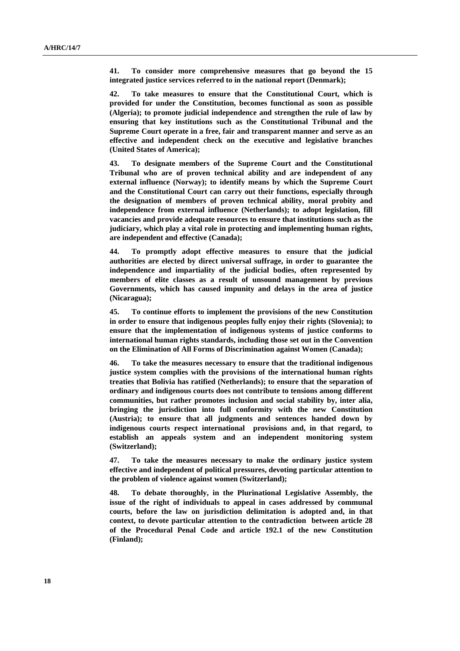**41. To consider more comprehensive measures that go beyond the 15 integrated justice services referred to in the national report (Denmark);** 

**42. To take measures to ensure that the Constitutional Court, which is provided for under the Constitution, becomes functional as soon as possible (Algeria); to promote judicial independence and strengthen the rule of law by ensuring that key institutions such as the Constitutional Tribunal and the Supreme Court operate in a free, fair and transparent manner and serve as an effective and independent check on the executive and legislative branches (United States of America);** 

**43. To designate members of the Supreme Court and the Constitutional Tribunal who are of proven technical ability and are independent of any external influence (Norway); to identify means by which the Supreme Court and the Constitutional Court can carry out their functions, especially through the designation of members of proven technical ability, moral probity and independence from external influence (Netherlands); to adopt legislation, fill vacancies and provide adequate resources to ensure that institutions such as the judiciary, which play a vital role in protecting and implementing human rights, are independent and effective (Canada);** 

**44. To promptly adopt effective measures to ensure that the judicial authorities are elected by direct universal suffrage, in order to guarantee the independence and impartiality of the judicial bodies, often represented by members of elite classes as a result of unsound management by previous Governments, which has caused impunity and delays in the area of justice (Nicaragua);** 

**45. To continue efforts to implement the provisions of the new Constitution in order to ensure that indigenous peoples fully enjoy their rights (Slovenia); to ensure that the implementation of indigenous systems of justice conforms to international human rights standards, including those set out in the Convention on the Elimination of All Forms of Discrimination against Women (Canada);** 

**46. To take the measures necessary to ensure that the traditional indigenous justice system complies with the provisions of the international human rights treaties that Bolivia has ratified (Netherlands); to ensure that the separation of ordinary and indigenous courts does not contribute to tensions among different communities, but rather promotes inclusion and social stability by, inter alia, bringing the jurisdiction into full conformity with the new Constitution (Austria); to ensure that all judgments and sentences handed down by indigenous courts respect international provisions and, in that regard, to establish an appeals system and an independent monitoring system (Switzerland);** 

**47. To take the measures necessary to make the ordinary justice system effective and independent of political pressures, devoting particular attention to the problem of violence against women (Switzerland);** 

**48. To debate thoroughly, in the Plurinational Legislative Assembly, the issue of the right of individuals to appeal in cases addressed by communal courts, before the law on jurisdiction delimitation is adopted and, in that context, to devote particular attention to the contradiction between article 28 of the Procedural Penal Code and article 192.1 of the new Constitution (Finland);**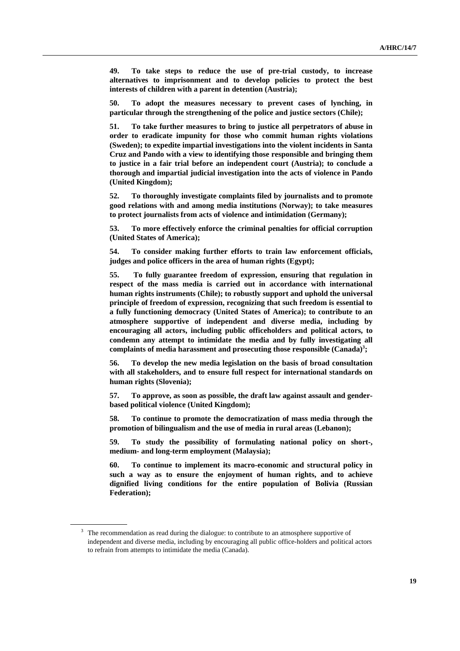**49. To take steps to reduce the use of pre-trial custody, to increase alternatives to imprisonment and to develop policies to protect the best interests of children with a parent in detention (Austria);** 

**50. To adopt the measures necessary to prevent cases of lynching, in particular through the strengthening of the police and justice sectors (Chile);** 

**51. To take further measures to bring to justice all perpetrators of abuse in order to eradicate impunity for those who commit human rights violations (Sweden); to expedite impartial investigations into the violent incidents in Santa Cruz and Pando with a view to identifying those responsible and bringing them to justice in a fair trial before an independent court (Austria); to conclude a thorough and impartial judicial investigation into the acts of violence in Pando (United Kingdom);** 

**52. To thoroughly investigate complaints filed by journalists and to promote good relations with and among media institutions (Norway); to take measures to protect journalists from acts of violence and intimidation (Germany);** 

**53. To more effectively enforce the criminal penalties for official corruption (United States of America);** 

**54. To consider making further efforts to train law enforcement officials, judges and police officers in the area of human rights (Egypt);** 

**55. To fully guarantee freedom of expression, ensuring that regulation in respect of the mass media is carried out in accordance with international human rights instruments (Chile); to robustly support and uphold the universal principle of freedom of expression, recognizing that such freedom is essential to a fully functioning democracy (United States of America); to contribute to an atmosphere supportive of independent and diverse media, including by encouraging all actors, including public officeholders and political actors, to condemn any attempt to intimidate the media and by fully investigating all**  complaints of media harassment and prosecuting those responsible (Canada)<sup>3</sup>;

**56. To develop the new media legislation on the basis of broad consultation with all stakeholders, and to ensure full respect for international standards on human rights (Slovenia);** 

**57. To approve, as soon as possible, the draft law against assault and genderbased political violence (United Kingdom);** 

**58. To continue to promote the democratization of mass media through the promotion of bilingualism and the use of media in rural areas (Lebanon);** 

**59. To study the possibility of formulating national policy on short-, medium- and long-term employment (Malaysia);** 

**60. To continue to implement its macro-economic and structural policy in such a way as to ensure the enjoyment of human rights, and to achieve dignified living conditions for the entire population of Bolivia (Russian Federation);** 

 $3\text{ }$  The recommendation as read during the dialogue: to contribute to an atmosphere supportive of independent and diverse media, including by encouraging all public office-holders and political actors to refrain from attempts to intimidate the media (Canada).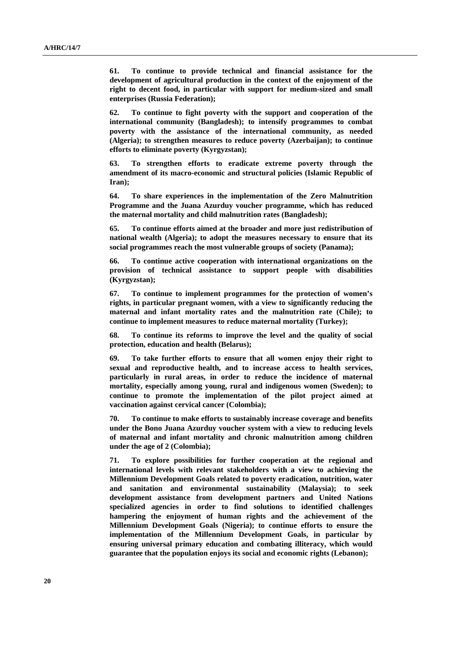**61. To continue to provide technical and financial assistance for the development of agricultural production in the context of the enjoyment of the right to decent food, in particular with support for medium-sized and small enterprises (Russia Federation);** 

**62. To continue to fight poverty with the support and cooperation of the international community (Bangladesh); to intensify programmes to combat poverty with the assistance of the international community, as needed (Algeria); to strengthen measures to reduce poverty (Azerbaijan); to continue efforts to eliminate poverty (Kyrgyzstan);** 

**63. To strengthen efforts to eradicate extreme poverty through the amendment of its macro-economic and structural policies (Islamic Republic of Iran);** 

**64. To share experiences in the implementation of the Zero Malnutrition Programme and the Juana Azurduy voucher programme, which has reduced the maternal mortality and child malnutrition rates (Bangladesh);** 

**65. To continue efforts aimed at the broader and more just redistribution of national wealth (Algeria); to adopt the measures necessary to ensure that its social programmes reach the most vulnerable groups of society (Panama);** 

**66. To continue active cooperation with international organizations on the provision of technical assistance to support people with disabilities (Kyrgyzstan);** 

**67. To continue to implement programmes for the protection of women's rights, in particular pregnant women, with a view to significantly reducing the maternal and infant mortality rates and the malnutrition rate (Chile); to continue to implement measures to reduce maternal mortality (Turkey);** 

**68. To continue its reforms to improve the level and the quality of social protection, education and health (Belarus);** 

**69. To take further efforts to ensure that all women enjoy their right to sexual and reproductive health, and to increase access to health services, particularly in rural areas, in order to reduce the incidence of maternal mortality, especially among young, rural and indigenous women (Sweden); to continue to promote the implementation of the pilot project aimed at vaccination against cervical cancer (Colombia);** 

**70. To continue to make efforts to sustainably increase coverage and benefits under the Bono Juana Azurduy voucher system with a view to reducing levels of maternal and infant mortality and chronic malnutrition among children under the age of 2 (Colombia);** 

**71. To explore possibilities for further cooperation at the regional and international levels with relevant stakeholders with a view to achieving the Millennium Development Goals related to poverty eradication, nutrition, water and sanitation and environmental sustainability (Malaysia); to seek development assistance from development partners and United Nations specialized agencies in order to find solutions to identified challenges hampering the enjoyment of human rights and the achievement of the Millennium Development Goals (Nigeria); to continue efforts to ensure the implementation of the Millennium Development Goals, in particular by ensuring universal primary education and combating illiteracy, which would guarantee that the population enjoys its social and economic rights (Lebanon);**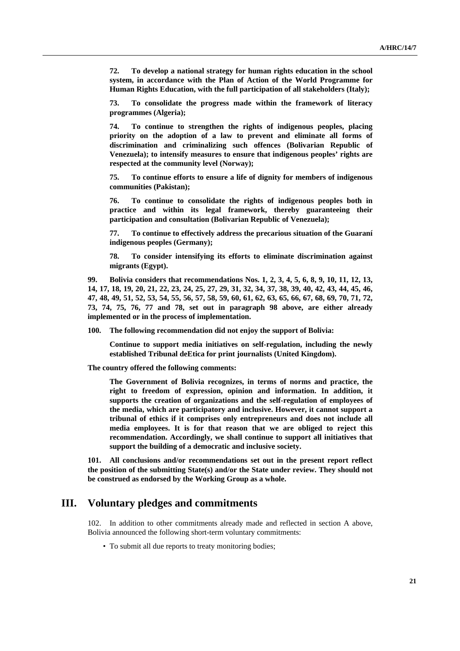**72. To develop a national strategy for human rights education in the school system, in accordance with the Plan of Action of the World Programme for Human Rights Education, with the full participation of all stakeholders (Italy);** 

**73. To consolidate the progress made within the framework of literacy programmes (Algeria);** 

**74. To continue to strengthen the rights of indigenous peoples, placing priority on the adoption of a law to prevent and eliminate all forms of discrimination and criminalizing such offences (Bolivarian Republic of Venezuela); to intensify measures to ensure that indigenous peoples' rights are respected at the community level (Norway);** 

**75. To continue efforts to ensure a life of dignity for members of indigenous communities (Pakistan);** 

**76. To continue to consolidate the rights of indigenous peoples both in practice and within its legal framework, thereby guaranteeing their participation and consultation (Bolivarian Republic of Venezuela);** 

**77. To continue to effectively address the precarious situation of the Guaraní indigenous peoples (Germany);** 

**78. To consider intensifying its efforts to eliminate discrimination against migrants (Egypt).** 

**99. Bolivia considers that recommendations Nos. 1, 2, 3, 4, 5, 6, 8, 9, 10, 11, 12, 13, 14, 17, 18, 19, 20, 21, 22, 23, 24, 25, 27, 29, 31, 32, 34, 37, 38, 39, 40, 42, 43, 44, 45, 46, 47, 48, 49, 51, 52, 53, 54, 55, 56, 57, 58, 59, 60, 61, 62, 63, 65, 66, 67, 68, 69, 70, 71, 72, 73, 74, 75, 76, 77 and 78, set out in paragraph 98 above, are either already implemented or in the process of implementation.** 

**100. The following recommendation did not enjoy the support of Bolivia:**

**Continue to support media initiatives on self-regulation, including the newly established Tribunal deEtica for print journalists (United Kingdom).** 

**The country offered the following comments:**

**The Government of Bolivia recognizes, in terms of norms and practice, the right to freedom of expression, opinion and information. In addition, it supports the creation of organizations and the self-regulation of employees of the media, which are participatory and inclusive. However, it cannot support a tribunal of ethics if it comprises only entrepreneurs and does not include all media employees. It is for that reason that we are obliged to reject this recommendation. Accordingly, we shall continue to support all initiatives that support the building of a democratic and inclusive society.** 

**101. All conclusions and/or recommendations set out in the present report reflect the position of the submitting State(s) and/or the State under review. They should not be construed as endorsed by the Working Group as a whole.** 

### **III. Voluntary pledges and commitments**

102. In addition to other commitments already made and reflected in section A above, Bolivia announced the following short-term voluntary commitments:

• To submit all due reports to treaty monitoring bodies;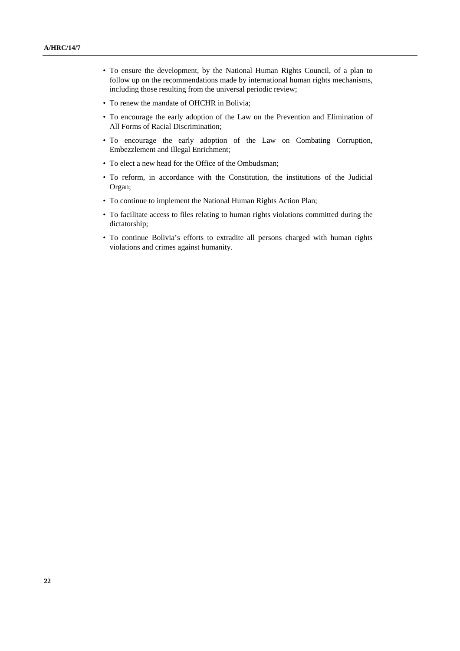- To ensure the development, by the National Human Rights Council, of a plan to follow up on the recommendations made by international human rights mechanisms, including those resulting from the universal periodic review;
- To renew the mandate of OHCHR in Bolivia;
- To encourage the early adoption of the Law on the Prevention and Elimination of All Forms of Racial Discrimination;
- To encourage the early adoption of the Law on Combating Corruption, Embezzlement and Illegal Enrichment;
- To elect a new head for the Office of the Ombudsman;
- To reform, in accordance with the Constitution, the institutions of the Judicial Organ;
- To continue to implement the National Human Rights Action Plan;
- To facilitate access to files relating to human rights violations committed during the dictatorship;
- To continue Bolivia's efforts to extradite all persons charged with human rights violations and crimes against humanity.